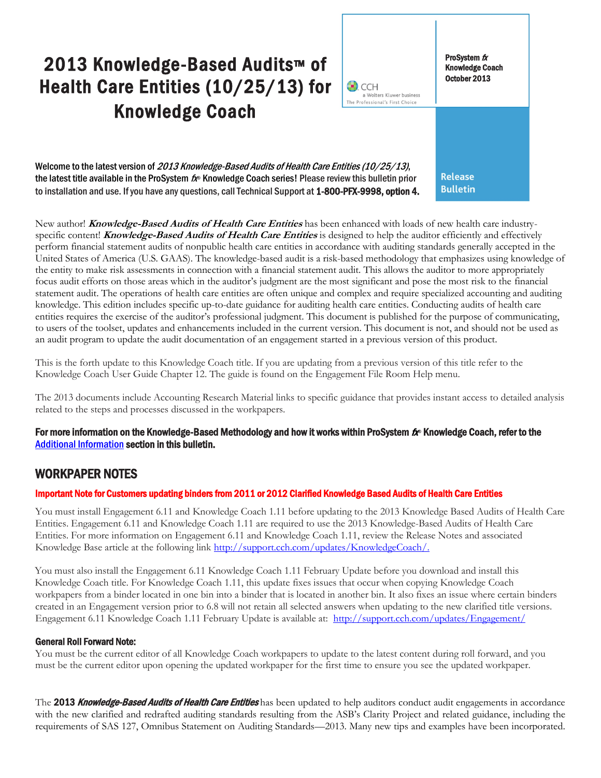# 2013 Knowledge-Based Audits™ of Health Care Entities (10/25/13) for Knowledge Coach

ProSystem  $$ Knowledge Coach October 2013

Welcome to the latest version of 2013 Knowledge-Based Audits of Health Care Entities (10/25/13), the latest title available in the ProSystem  $f_\mathcal{R}$  Knowledge Coach series! Please review this bulletin prior to installation and use. If you have any questions, call Technical Support at 1-800-PFX-9998, option 4.

**Release Bulletin** 

New author! **Knowledge-Based Audits of Health Care Entities** has been enhanced with loads of new health care industryspecific content! **Knowledge-Based Audits of Health Care Entities** is designed to help the auditor efficiently and effectively perform financial statement audits of nonpublic health care entities in accordance with auditing standards generally accepted in the United States of America (U.S. GAAS). The knowledge-based audit is a risk-based methodology that emphasizes using knowledge of the entity to make risk assessments in connection with a financial statement audit. This allows the auditor to more appropriately focus audit efforts on those areas which in the auditor's judgment are the most significant and pose the most risk to the financial statement audit. The operations of health care entities are often unique and complex and require specialized accounting and auditing knowledge. This edition includes specific up-to-date guidance for auditing health care entities. Conducting audits of health care entities requires the exercise of the auditor's professional judgment. This document is published for the purpose of communicating, to users of the toolset, updates and enhancements included in the current version. This document is not, and should not be used as an audit program to update the audit documentation of an engagement started in a previous version of this product.

 $\bullet$  CCH

a Wolters Kluwer business The Professional's First Choice

This is the forth update to this Knowledge Coach title. If you are updating from a previous version of this title refer to the Knowledge Coach User Guide Chapter 12. The guide is found on the Engagement File Room Help menu.

The 2013 documents include Accounting Research Material links to specific guidance that provides instant access to detailed analysis related to the steps and processes discussed in the workpapers.

## For more information on the Knowledge-Based Methodology and how it works within ProSystem  $f_\text{R}$  Knowledge Coach, refer to the [Additional Information s](#page-2-0)ection in this bulletin.

# WORKPAPER NOTES

## Important Note for Customers updating binders from 2011 or 2012 Clarified Knowledge Based Audits of Health Care Entities

You must install Engagement 6.11 and Knowledge Coach 1.11 before updating to the 2013 Knowledge Based Audits of Health Care Entities. Engagement 6.11 and Knowledge Coach 1.11 are required to use the 2013 Knowledge-Based Audits of Health Care Entities. For more information on Engagement 6.11 and Knowledge Coach 1.11, review the Release Notes and associated Knowledge Base article at the following link [http://support.cch.com/updates/KnowledgeCoach/.](http://support.cch.com/updates/KnowledgeCoach/) 

You must also install the Engagement 6.11 Knowledge Coach 1.11 February Update before you download and install this Knowledge Coach title. For Knowledge Coach 1.11, this update fixes issues that occur when copying Knowledge Coach workpapers from a binder located in one bin into a binder that is located in another bin. It also fixes an issue where certain binders created in an Engagement version prior to 6.8 will not retain all selected answers when updating to the new clarified title versions. Engagement 6.11 Knowledge Coach 1.11 February Update is available at:<http://support.cch.com/updates/Engagement/>

#### General Roll Forward Note:

You must be the current editor of all Knowledge Coach workpapers to update to the latest content during roll forward, and you must be the current editor upon opening the updated workpaper for the first time to ensure you see the updated workpaper.

The 2013 Knowledge-Based Audits of Health Care Entities has been updated to help auditors conduct audit engagements in accordance with the new clarified and redrafted auditing standards resulting from the ASB's Clarity Project and related guidance, including the requirements of SAS 127, Omnibus Statement on Auditing Standards—2013. Many new tips and examples have been incorporated.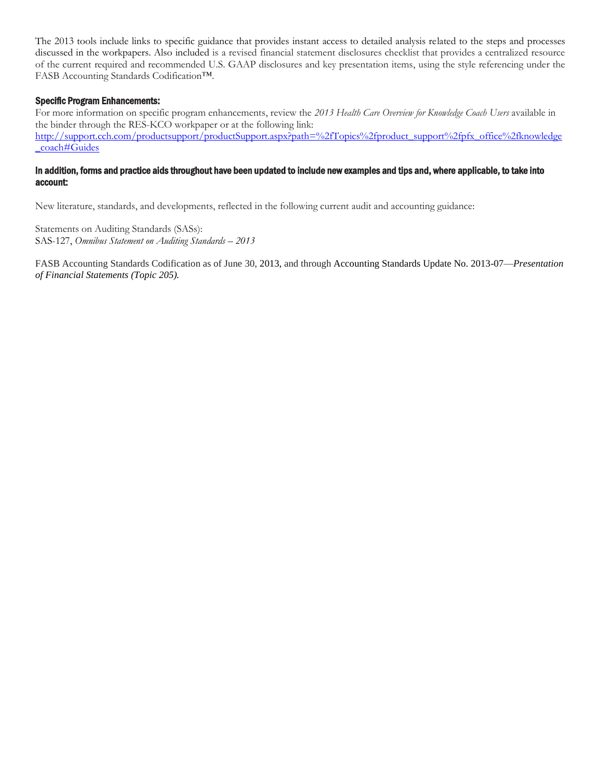The 2013 tools include links to specific guidance that provides instant access to detailed analysis related to the steps and processes discussed in the workpapers. Also included is a revised financial statement disclosures checklist that provides a centralized resource of the current required and recommended U.S. GAAP disclosures and key presentation items, using the style referencing under the FASB Accounting Standards Codification™.

#### Specific Program Enhancements:

For more information on specific program enhancements, review the *2013 Health Care Overview for Knowledge Coach Users* available in the binder through the RES-KCO workpaper or at the following link: [http://support.cch.com/productsupport/productSupport.aspx?path=%2fTopics%2fproduct\\_support%2fpfx\\_office%2fknowledge](http://support.cch.com/productsupport/productSupport.aspx?path=%2fTopics%2fproduct_support%2fpfx_office%2fknowledge_coach#Guides)  [\\_coach#Guides](http://support.cch.com/productsupport/productSupport.aspx?path=%2fTopics%2fproduct_support%2fpfx_office%2fknowledge_coach#Guides)

#### In addition, forms and practice aids throughout have been updated to include new examples and tips and, where applicable, to take into account:

New literature, standards, and developments, reflected in the following current audit and accounting guidance:

Statements on Auditing Standards (SASs): SAS-127, *Omnibus Statement on Auditing Standards – 2013*

FASB Accounting Standards Codification as of June 30, 2013, and through Accounting Standards Update No. 2013-07—*Presentation of Financial Statements (Topic 205).*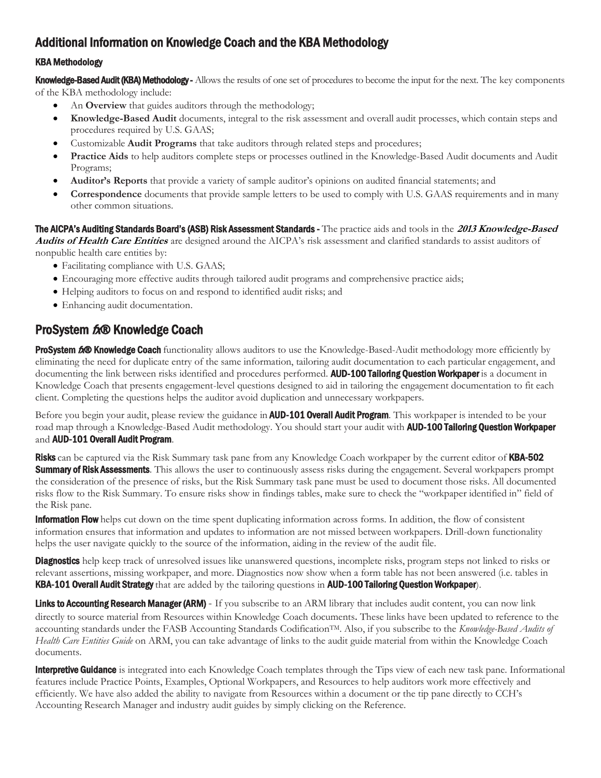# <span id="page-2-0"></span>Additional Information on Knowledge Coach and the KBA Methodology

## KBA Methodology

Knowledge-Based Audit (KBA) Methodology - Allows the results of one set of procedures to become the input for the next. The key components of the KBA methodology include:

- An **Overview** that guides auditors through the methodology;
- **Knowledge-Based Audit** documents, integral to the risk assessment and overall audit processes, which contain steps and procedures required by U.S. GAAS;
- Customizable **Audit Programs** that take auditors through related steps and procedures;
- **Practice Aids** to help auditors complete steps or processes outlined in the Knowledge-Based Audit documents and Audit Programs;
- **Auditor's Reports** that provide a variety of sample auditor's opinions on audited financial statements; and
- **Correspondence** documents that provide sample letters to be used to comply with U.S. GAAS requirements and in many other common situations.

The AICPA's Auditing Standards Board's (ASB) Risk Assessment Standards - The practice aids and tools in the **2013 Knowledge-Based Audits of Health Care Entities** are designed around the AICPA's risk assessment and clarified standards to assist auditors of

nonpublic health care entities by:

- Facilitating compliance with U.S. GAAS;
- Encouraging more effective audits through tailored audit programs and comprehensive practice aids;
- Helping auditors to focus on and respond to identified audit risks; and
- Enhancing audit documentation.

# ProSystem  $f_x \otimes$  Knowledge Coach

ProSystem 600 Knowledge Coach functionality allows auditors to use the Knowledge-Based-Audit methodology more efficiently by eliminating the need for duplicate entry of the same information, tailoring audit documentation to each particular engagement, and documenting the link between risks identified and procedures performed. AUD-100 Tailoring Question Workpaper is a document in Knowledge Coach that presents engagement-level questions designed to aid in tailoring the engagement documentation to fit each client. Completing the questions helps the auditor avoid duplication and unnecessary workpapers.

Before you begin your audit, please review the guidance in **AUD-101 Overall Audit Program**. This workpaper is intended to be your road map through a Knowledge-Based Audit methodology. You should start your audit with **AUD-100 Tailoring Question Workpaper** and AUD-101 Overall Audit Program.

Risks can be captured via the Risk Summary task pane from any Knowledge Coach workpaper by the current editor of KBA-502 **Summary of Risk Assessments**. This allows the user to continuously assess risks during the engagement. Several workpapers prompt the consideration of the presence of risks, but the Risk Summary task pane must be used to document those risks. All documented risks flow to the Risk Summary. To ensure risks show in findings tables, make sure to check the "workpaper identified in" field of the Risk pane.

**Information Flow** helps cut down on the time spent duplicating information across forms. In addition, the flow of consistent information ensures that information and updates to information are not missed between workpapers. Drill-down functionality helps the user navigate quickly to the source of the information, aiding in the review of the audit file.

Diagnostics help keep track of unresolved issues like unanswered questions, incomplete risks, program steps not linked to risks or relevant assertions, missing workpaper, and more. Diagnostics now show when a form table has not been answered (i.e. tables in KBA-101 Overall Audit Strategy that are added by the tailoring questions in AUD-100 Tailoring Question Workpaper).

Links to Accounting Research Manager (ARM) - If you subscribe to an ARM library that includes audit content, you can now link directly to source material from Resources within Knowledge Coach documents. These links have been updated to reference to the accounting standards under the FASB Accounting Standards CodificationTM. Also, if you subscribe to the *Knowledge-Based Audits of Health Care Entities Guide* on ARM, you can take advantage of links to the audit guide material from within the Knowledge Coach documents.

**Interpretive Guidance** is integrated into each Knowledge Coach templates through the Tips view of each new task pane. Informational features include Practice Points, Examples, Optional Workpapers, and Resources to help auditors work more effectively and efficiently. We have also added the ability to navigate from Resources within a document or the tip pane directly to CCH's Accounting Research Manager and industry audit guides by simply clicking on the Reference.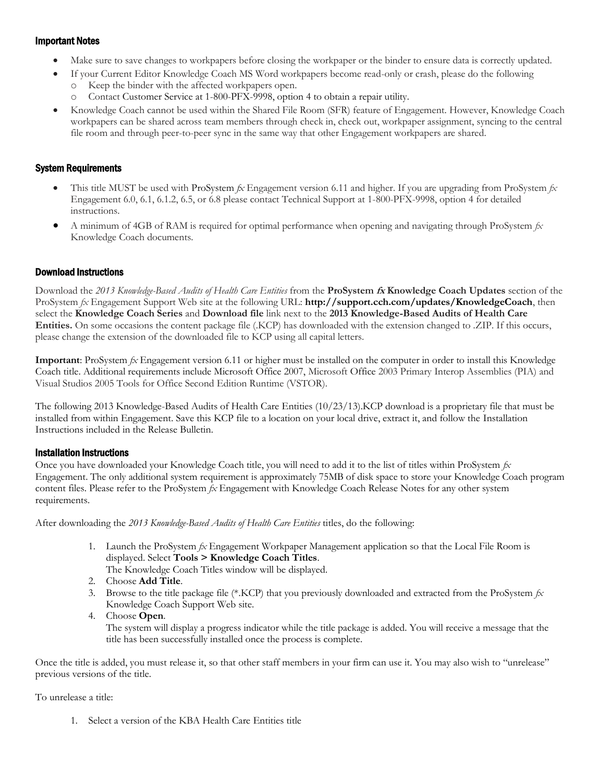## Important Notes

- Make sure to save changes to workpapers before closing the workpaper or the binder to ensure data is correctly updated.
- If your Current Editor Knowledge Coach MS Word workpapers become read-only or crash, please do the following
	- Keep the binder with the affected workpapers open.
	- o Contact Customer Service at 1-800-PFX-9998, option 4 to obtain a repair utility.
- Knowledge Coach cannot be used within the Shared File Room (SFR) feature of Engagement. However, Knowledge Coach workpapers can be shared across team members through check in, check out, workpaper assignment, syncing to the central file room and through peer-to-peer sync in the same way that other Engagement workpapers are shared.

## System Requirements

- This title MUST be used with ProSystem *fx* Engagement version 6.11 and higher. If you are upgrading from ProSystem *fx*  Engagement 6.0, 6.1, 6.1.2, 6.5, or 6.8 please contact Technical Support at 1-800-PFX-9998, option 4 for detailed instructions.
- A minimum of 4GB of RAM is required for optimal performance when opening and navigating through ProSystem *fx*  Knowledge Coach documents.

## Download Instructions

Download the *2013 Knowledge-Based Audits of Health Care Entities* from the **ProSystem fx Knowledge Coach Updates** section of the ProSystem *fx* Engagement Support Web site at the following URL: **http://support.cch.com/updates/KnowledgeCoach**, then select the **Knowledge Coach Series** and **Download file** link next to the **2013 Knowledge-Based Audits of Health Care Entities.** On some occasions the content package file (.KCP) has downloaded with the extension changed to .ZIP. If this occurs, please change the extension of the downloaded file to KCP using all capital letters.

**Important**: ProSystem *fx* Engagement version 6.11 or higher must be installed on the computer in order to install this Knowledge Coach title. Additional requirements include Microsoft Office 2007, Microsoft Office 2003 Primary Interop Assemblies (PIA) and Visual Studios 2005 Tools for Office Second Edition Runtime (VSTOR).

The following 2013 Knowledge-Based Audits of Health Care Entities (10/23/13).KCP download is a proprietary file that must be installed from within Engagement. Save this KCP file to a location on your local drive, extract it, and follow the Installation Instructions included in the Release Bulletin.

## Installation Instructions

Once you have downloaded your Knowledge Coach title, you will need to add it to the list of titles within ProSystem *fx*  Engagement. The only additional system requirement is approximately 75MB of disk space to store your Knowledge Coach program content files. Please refer to the ProSystem *fx* Engagement with Knowledge Coach Release Notes for any other system requirements.

After downloading the *2013 Knowledge-Based Audits of Health Care Entities* titles, do the following:

- 1. Launch the ProSystem *fx* Engagement Workpaper Management application so that the Local File Room is displayed. Select **Tools > Knowledge Coach Titles**. The Knowledge Coach Titles window will be displayed.
- 2. Choose **Add Title**.
- 3. Browse to the title package file (\*.KCP) that you previously downloaded and extracted from the ProSystem *fx*  Knowledge Coach Support Web site.
- 4. Choose **Open**.

The system will display a progress indicator while the title package is added. You will receive a message that the title has been successfully installed once the process is complete.

Once the title is added, you must release it, so that other staff members in your firm can use it. You may also wish to "unrelease" previous versions of the title.

To unrelease a title:

1. Select a version of the KBA Health Care Entities title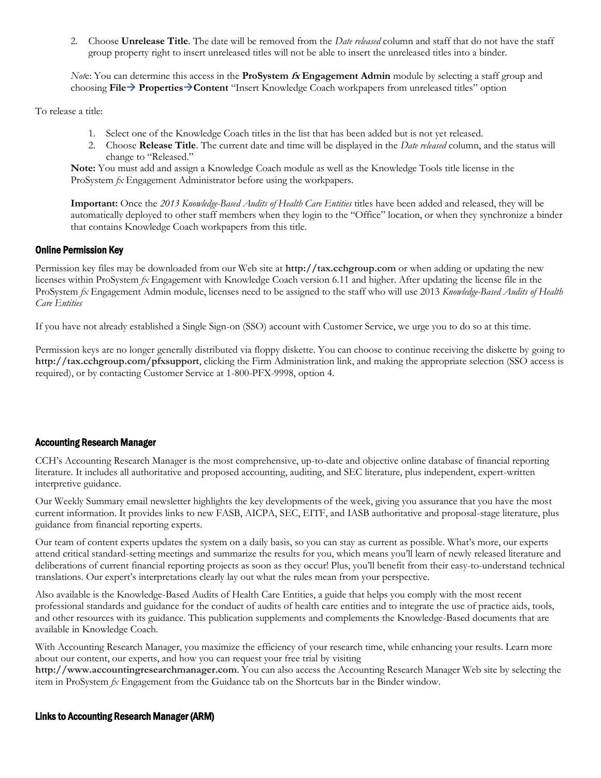2. Choose **Unrelease Title**. The date will be removed from the *Date released* column and staff that do not have the staff group property right to insert unreleased titles will not be able to insert the unreleased titles into a binder.

*Not*e: You can determine this access in the **ProSystem fx Engagement Admin** module by selecting a staff group and choosing **File PropertiesContent** "Insert Knowledge Coach workpapers from unreleased titles" option

To release a title:

- 1. Select one of the Knowledge Coach titles in the list that has been added but is not yet released.
- 2. Choose **Release Title**. The current date and time will be displayed in the *Date released* column, and the status will change to "Released."

**Note:** You must add and assign a Knowledge Coach module as well as the Knowledge Tools title license in the ProSystem *fx* Engagement Administrator before using the workpapers.

**Important:** Once the *2013 Knowledge-Based Audits of Health Care Entities* titles have been added and released, they will be automatically deployed to other staff members when they login to the "Office" location, or when they synchronize a binder that contains Knowledge Coach workpapers from this title.

#### Online Permission Key

Permission key files may be downloaded from our Web site at **http://tax.cchgroup.com** or when adding or updating the new licenses within ProSystem *fx* Engagement with Knowledge Coach version 6.11 and higher. After updating the license file in the ProSystem *fx* Engagement Admin module, licenses need to be assigned to the staff who will use 2013 *Knowledge-Based Audits of Health Care Entities*

If you have not already established a Single Sign-on (SSO) account with Customer Service, we urge you to do so at this time.

Permission keys are no longer generally distributed via floppy diskette. You can choose to continue receiving the diskette by going to **http://tax.cchgroup.com/pfxsupport**, clicking the Firm Administration link, and making the appropriate selection (SSO access is required), or by contacting Customer Service at 1-800-PFX-9998, option 4.

## Accounting Research Manager

CCH's Accounting Research Manager is the most comprehensive, up-to-date and objective online database of financial reporting literature. It includes all authoritative and proposed accounting, auditing, and SEC literature, plus independent, expert-written interpretive guidance.

Our Weekly Summary email newsletter highlights the key developments of the week, giving you assurance that you have the most current information. It provides links to new FASB, AICPA, SEC, EITF, and IASB authoritative and proposal-stage literature, plus guidance from financial reporting experts.

Our team of content experts updates the system on a daily basis, so you can stay as current as possible. What's more, our experts attend critical standard-setting meetings and summarize the results for you, which means you'll learn of newly released literature and deliberations of current financial reporting projects as soon as they occur! Plus, you'll benefit from their easy-to-understand technical translations. Our expert's interpretations clearly lay out what the rules mean from your perspective.

Also available is the Knowledge-Based Audits of Health Care Entities, a guide that helps you comply with the most recent professional standards and guidance for the conduct of audits of health care entities and to integrate the use of practice aids, tools, and other resources with its guidance. This publication supplements and complements the Knowledge-Based documents that are available in Knowledge Coach.

With Accounting Research Manager, you maximize the efficiency of your research time, while enhancing your results. Learn more about our content, our experts, and how you can request your free trial by visiting

**http://www.accountingresearchmanager.com**. You can also access the Accounting Research Manager Web site by selecting the item in ProSystem *fx* Engagement from the Guidance tab on the Shortcuts bar in the Binder window.

#### Links to Accounting Research Manager (ARM)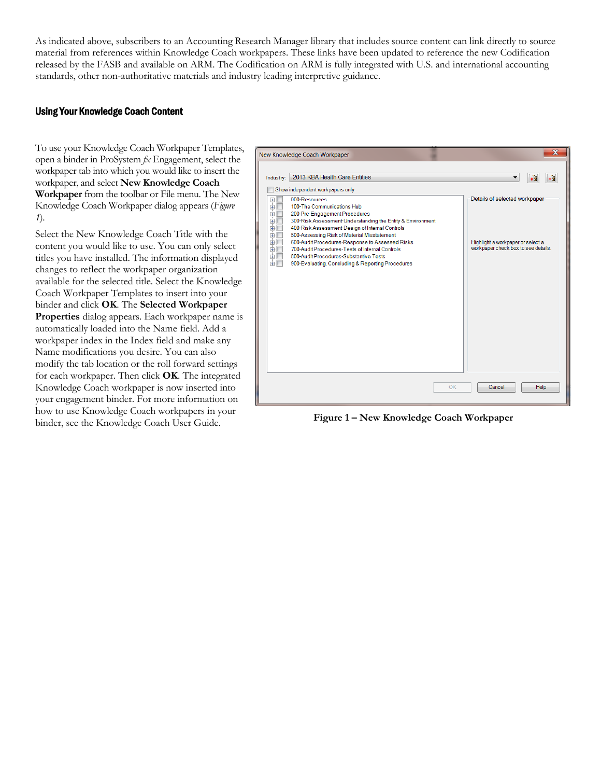As indicated above, subscribers to an Accounting Research Manager library that includes source content can link directly to source material from references within Knowledge Coach workpapers. These links have been updated to reference the new Codification released by the FASB and available on ARM. The Codification on ARM is fully integrated with U.S. and international accounting standards, other non-authoritative materials and industry leading interpretive guidance.

#### Using Your Knowledge Coach Content

To use your Knowledge Coach Workpaper Templates, open a binder in ProSystem *fx* Engagement, select the workpaper tab into which you would like to insert the workpaper, and select **New Knowledge Coach Workpaper** from the toolbar or File menu. The New Knowledge Coach Workpaper dialog appears (*Figure 1*).

Select the New Knowledge Coach Title with the content you would like to use. You can only select titles you have installed. The information displayed changes to reflect the workpaper organization available for the selected title. Select the Knowledge Coach Workpaper Templates to insert into your binder and click **OK**. The **Selected Workpaper Properties** dialog appears. Each workpaper name is automatically loaded into the Name field. Add a workpaper index in the Index field and make any Name modifications you desire. You can also modify the tab location or the roll forward settings for each workpaper. Then click **OK**. The integrated Knowledge Coach workpaper is now inserted into your engagement binder. For more information on how to use Knowledge Coach workpapers in your binder, see the Knowledge Coach User Guide.



**Figure 1 – New Knowledge Coach Workpaper**